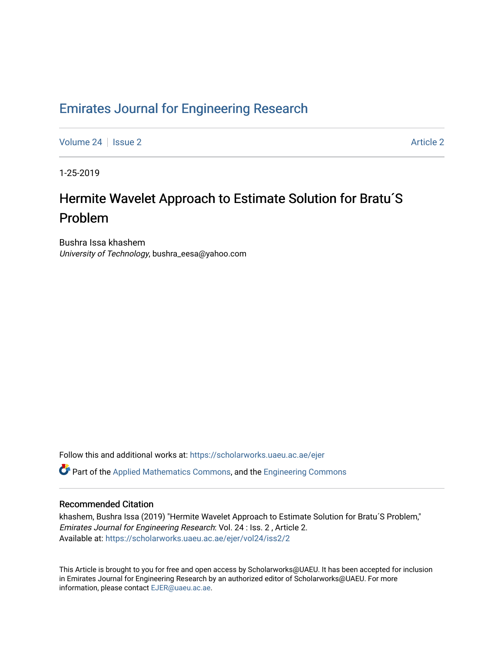# [Emirates Journal for Engineering Research](https://scholarworks.uaeu.ac.ae/ejer)

[Volume 24](https://scholarworks.uaeu.ac.ae/ejer/vol24) | [Issue 2](https://scholarworks.uaeu.ac.ae/ejer/vol24/iss2) [Article 2](https://scholarworks.uaeu.ac.ae/ejer/vol24/iss2/2) Article 2 Article 2 Article 2 Article 2 Article 2 Article 2 Article 2 Article 2

1-25-2019

# Hermite Wavelet Approach to Estimate Solution for Bratu'S Problem

Bushra Issa khashem University of Technology, bushra\_eesa@yahoo.com

Follow this and additional works at: [https://scholarworks.uaeu.ac.ae/ejer](https://scholarworks.uaeu.ac.ae/ejer?utm_source=scholarworks.uaeu.ac.ae%2Fejer%2Fvol24%2Fiss2%2F2&utm_medium=PDF&utm_campaign=PDFCoverPages) 

Part of the [Applied Mathematics Commons](http://network.bepress.com/hgg/discipline/115?utm_source=scholarworks.uaeu.ac.ae%2Fejer%2Fvol24%2Fiss2%2F2&utm_medium=PDF&utm_campaign=PDFCoverPages), and the [Engineering Commons](http://network.bepress.com/hgg/discipline/217?utm_source=scholarworks.uaeu.ac.ae%2Fejer%2Fvol24%2Fiss2%2F2&utm_medium=PDF&utm_campaign=PDFCoverPages)

# Recommended Citation

khashem, Bushra Issa (2019) "Hermite Wavelet Approach to Estimate Solution for Bratu´S Problem," Emirates Journal for Engineering Research: Vol. 24 : Iss. 2 , Article 2. Available at: [https://scholarworks.uaeu.ac.ae/ejer/vol24/iss2/2](https://scholarworks.uaeu.ac.ae/ejer/vol24/iss2/2?utm_source=scholarworks.uaeu.ac.ae%2Fejer%2Fvol24%2Fiss2%2F2&utm_medium=PDF&utm_campaign=PDFCoverPages)

This Article is brought to you for free and open access by Scholarworks@UAEU. It has been accepted for inclusion in Emirates Journal for Engineering Research by an authorized editor of Scholarworks@UAEU. For more information, please contact [EJER@uaeu.ac.ae.](mailto:EJER@uaeu.ac.ae)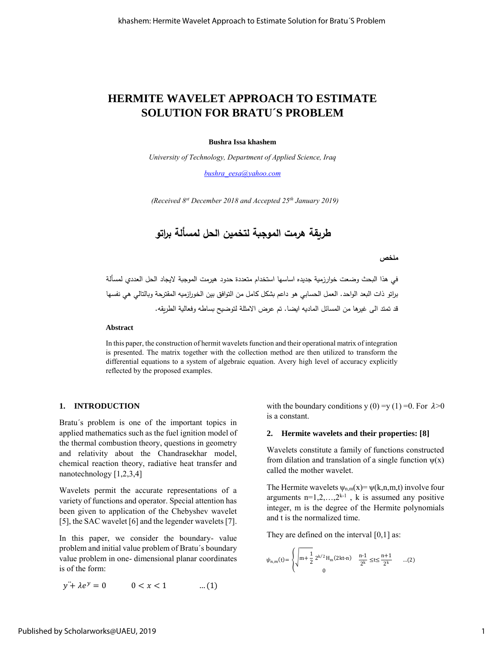# **HERMITE WAVELET APPROACH TO ESTIMATE SOLUTION FOR BRATU´S PROBLEM**

#### **Bushra Issa khashem**

*University of Technology, Department of Applied Science, Iraq*

*[bushra\\_eesa@yahoo.com](mailto:bushra_eesa@yahoo.com)*

*(Received 8 st December 2018 and Accepted 25th January 2019)*

**طريقة هرمت الموجبة لتخمين الحل لمسألة براتو**

#### **ملخص**

في هذا البحث وضعت خوارزمية جديده اساسها استخدام متعددة حدود هيرمت الموجبة اليجاد الحل العددي لمسألة براتو ذات البعد الواحد. العمل الحسابي هو داعم بشكل كامل من التوافق بين الخورازميه المقترحة وبالتالي هي نفسها قد تمتد الى غيرها من المسائل الماديه ايضا. تم عرض االمثلة لتوضيح بساطه وفعالية الطريقه.

#### **Abstract**

In this paper, the construction of hermit wavelets function and their operational matrix of integration is presented. The matrix together with the collection method are then utilized to transform the differential equations to a system of algebraic equation. Avery high level of accuracy explicitly reflected by the proposed examples.

#### **1. INTRODUCTION**

Bratu´s problem is one of the important topics in applied mathematics such as the fuel ignition model of the thermal combustion theory, questions in geometry and relativity about the Chandrasekhar model, chemical reaction theory, radiative heat transfer and nanotechnology [1,2,3,4]

Wavelets permit the accurate representations of a variety of functions and operator. Special attention has been given to application of the Chebyshev wavelet [5], the SAC wavelet [6] and the legender wavelets [7].

In this paper, we consider the boundary- value problem and initial value problem of Bratu´s boundary value problem in one- dimensional planar coordinates is of the form:

 $y^2 + \lambda e^y = 0$   $0 < x < 1$  ...(1)

with the boundary conditions y (0) =y (1) =0. For  $\lambda > 0$ is a constant.

#### **2. Hermite wavelets and their properties: [8]**

Wavelets constitute a family of functions constructed from dilation and translation of a single function  $\psi(x)$ called the mother wavelet.

The Hermite wavelets  $\psi_{n,m}(x) = \psi(k,n,m,t)$  involve four arguments  $n=1,2,\ldots,2^{k-1}$ , k is assumed any positive integer, m is the degree of the Hermite polynomials and t is the normalized time.

They are defined on the interval [0,1] as:

$$
\psi_{n,m}(t) = \begin{cases} \sqrt{m + \frac{1}{2}} \ 2^{k/2} \, H_m(2kt \cdot n) & \frac{n \cdot 1}{2^k} \leq t \leq \frac{n+1}{2^k} & \dots (2) \\ 0 & \end{cases}
$$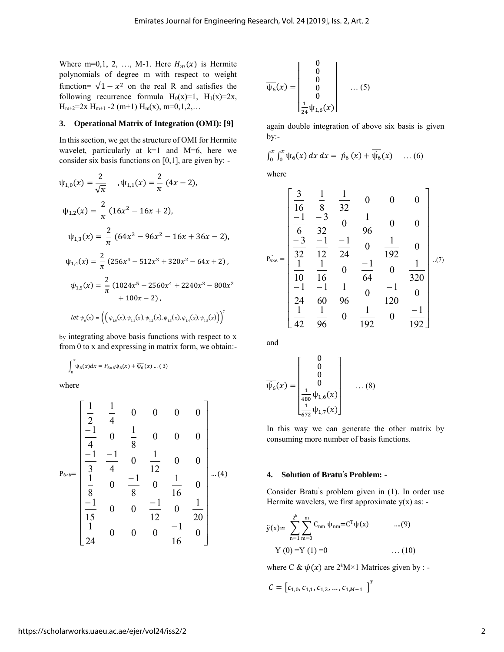Where m=0,1, 2, ..., M-1. Here  $H_m(x)$  is Hermite polynomials of degree m with respect to weight function=  $\sqrt{1-x^2}$  on the real R and satisfies the following recurrence formula  $H_0(x)=1$ ,  $H_1(x)=2x$ ,  $H_{m+2}=2x$   $H_{m+1}$  -2 (m+1)  $H_m(x)$ , m=0,1,2,...

#### **3. Operational Matrix of Integration (OMI): [9]**

In thissection, we get the structure of OMI for Hermite wavelet, particularly at k=1 and M=6, here we consider six basis functions on [0,1], are given by: -

$$
\psi_{1,0}(x) = \frac{2}{\sqrt{\pi}} , \psi_{1,1}(x) = \frac{2}{\pi} (4x - 2),
$$
  
\n
$$
\psi_{1,2}(x) = \frac{2}{\pi} (16x^2 - 16x + 2),
$$
  
\n
$$
\psi_{1,3}(x) = \frac{2}{\pi} (64x^3 - 96x^2 - 16x + 36x - 2),
$$
  
\n
$$
\psi_{1,4}(x) = \frac{2}{\pi} (256x^4 - 512x^3 + 320x^2 - 64x + 2),
$$
  
\n
$$
\psi_{1,5}(x) = \frac{2}{\pi} (1024x^5 - 2560x^4 + 2240x^3 - 800x^2 + 100x - 2),
$$
  
\nlet  $\psi_6(x) = ((\psi_{1,0}(x), \psi_{1,1}(x), \psi_{1,2}(x), \psi_{1,3}(x), \psi_{1,4}(x), \psi_{1,5}(x)))^T$ 

by integrating above basis functions with respect to x from 0 to x and expressing in matrix form, we obtain:-

$$
\int_0^x \psi_6(x) dx = P_{6 \times 6} \psi_6(x) + \overline{\psi_6}(x) \dots (3)
$$

where

$$
P_{6 \times 6} = \begin{bmatrix} \frac{1}{2} & \frac{1}{4} & 0 & 0 & 0 & 0 \\ -1 & 0 & \frac{1}{8} & 0 & 0 & 0 \\ \frac{-1}{3} & \frac{-1}{4} & 0 & \frac{1}{12} & 0 & 0 \\ \frac{1}{8} & 0 & \frac{-1}{8} & 0 & \frac{1}{16} & 0 \\ \frac{-1}{15} & 0 & 0 & \frac{-1}{12} & 0 & \frac{1}{20} \\ \frac{1}{24} & 0 & 0 & 0 & \frac{-1}{16} & 0 \end{bmatrix} \dots (4)
$$

$$
\overline{\psi_6}(x) = \begin{bmatrix} 0 \\ 0 \\ 0 \\ 0 \\ 0 \\ \frac{1}{24}\psi_{1,6}(x) \end{bmatrix} \quad \dots (5)
$$

again double integration of above six basis is given by:-

$$
\int_0^x \int_0^x \psi_6(x) \, dx \, dx = \dot{p}_6(x) + \overline{\psi_6}(x) \quad \dots (6)
$$

where

$$
P_{6\times 6} = \begin{bmatrix} \frac{3}{16} & \frac{1}{8} & \frac{1}{32} & 0 & 0 & 0 \\ \frac{-1}{6} & \frac{-3}{32} & 0 & \frac{1}{96} & 0 & 0 \\ \frac{-3}{32} & \frac{-1}{12} & \frac{-1}{24} & 0 & \frac{1}{192} & 0 \\ \frac{1}{10} & \frac{1}{16} & 0 & \frac{-1}{64} & 0 & \frac{1}{320} \\ \frac{-1}{24} & \frac{-1}{60} & \frac{1}{96} & 0 & \frac{-1}{120} & 0 \\ \frac{1}{42} & \frac{1}{96} & 0 & \frac{1}{192} & 0 & \frac{-1}{192} \end{bmatrix} \dots (7)
$$

and

$$
\overline{\psi_6}(x) = \begin{bmatrix} 0 \\ 0 \\ 0 \\ 0 \\ \frac{1}{480} \psi_{1,6}(x) \\ \frac{1}{672} \psi_{1,7}(x) \end{bmatrix} \quad \dots (8)
$$

In this way we can generate the other matrix by consuming more number of basis functions.

## **4. Solution of Bratu ' s Problem: -**

Consider Bratu' s problem given in (1). In order use Hermite wavelets, we first approximate  $y(x)$  as: -

$$
\ddot{y}(x) \approx \sum_{n=1}^{2^{k}} \sum_{m=0}^{m} C_{nm} \psi_{nm} = C^{T} \psi(x) \qquad ....(9)
$$
  
Y (0) = Y (1) =0 \qquad ....(10)

where C &  $\psi(x)$  are  $2^kM \times 1$  Matrices given by : -

$$
C = [c_{1,0}, c_{1,1}, c_{1,2}, \dots, c_{1,M-1}]^{T}
$$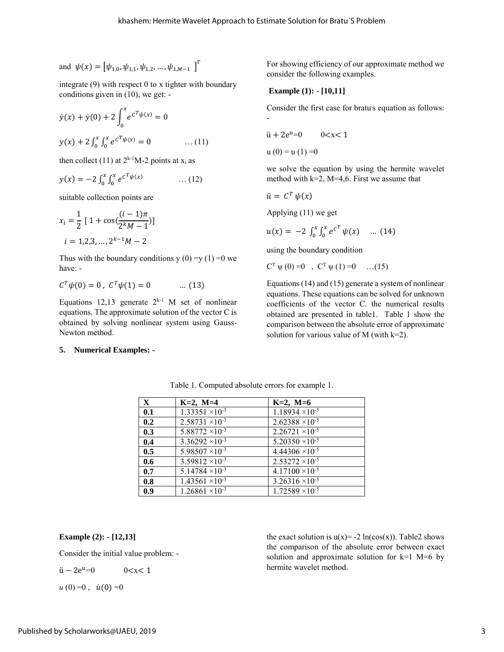and 
$$
\psi(x) = [\psi_{1,0}, \psi_{1,1}, \psi_{1,2}, \dots, \psi_{1,M-1}]^T
$$

integrate (9) with respect 0 to x tighter with boundary conditions given in (10), we get: -

$$
\dot{y}(x) + \dot{y}(0) + 2 \int_0^x e^{c^T \psi(x)} = 0
$$
  

$$
y(x) + 2 \int_0^x \int_0^x e^{c^T \psi(x)} = 0 \qquad \dots (11)
$$

then collect (11) at  $2^{k-1}M-2$  points at  $x_i$  as

$$
y(x) = -2 \int_0^x \int_0^x e^{c^T \psi(x)} \qquad \dots (12)
$$

suitable collection points are

$$
x_i = \frac{1}{2} \left[ 1 + \cos\left(\frac{(i-1)\pi}{2^k M - 1}\right) \right]
$$
  

$$
i = 1, 2, 3, ..., 2^{k-1} M - 2
$$

Thus with the boundary conditions  $y(0) = y(1) = 0$  we have: -

$$
C^T \psi(0) = 0, \ C^T \psi(1) = 0 \qquad \dots (13)
$$

Equations 12,13 generate  $2^{k-1}$  M set of nonlinear equations. The approximate solution of the vector C is obtained by solving nonlinear system using Gauss-Newton method.

## **5. Numerical Examples: -**

For showing efficiency of our approximate method we consider the following examples.

## **Example (1): - [10,11]**

Consider the first case for bratu<sub>s</sub> equation as follows: -

$$
\ddot{u} + 2e^{u} = 0 \qquad 0 < x < 1
$$

 $u(0) = u(1) = 0$ 

we solve the equation by using the hermite wavelet method with  $k=2$ , M=4,6. First we assume that

$$
\ddot{u} = C^T \psi(x)
$$

Applying (11) we get

$$
u(x) = -2 \int_0^x \int_0^x e^{c^T} \psi(x) \quad \dots (14)
$$

using the boundary condition

 $C^{T} \psi(0) = 0$ ,  $C^{T} \psi(1) = 0$  ...(15)

Equations (14) and (15) generate a system of nonlinear equations. These equations can be solved for unknown coefficients of the vector C. the numerical results obtained are presented in table1. Table 1 show the comparison between the absolute error of approximate solution for various value of M (with  $k=2$ ).

| $\mathbf{X}$ | $K=2$ , $M=4$            | $K=2, M=6$               |
|--------------|--------------------------|--------------------------|
| 0.1          | $1.33351 \times 10^{-3}$ | $1.18934 \times 10^{-5}$ |
| 0.2          | $2.58731 \times 10^{-3}$ | $2.62388 \times 10^{-5}$ |
| 0.3          | $5.88772 \times 10^{-3}$ | $2.26721 \times 10^{-5}$ |
| 0.4          | $3.36292 \times 10^{-3}$ | $5.20350 \times 10^{-5}$ |
| 0.5          | $5.98507 \times 10^{-3}$ | $4.44306 \times 10^{-5}$ |
| 0.6          | $3.59812 \times 10^{-3}$ | $2.53272 \times 10^{-5}$ |
| 0.7          | $5.14784 \times 10^{-3}$ | $4.17100 \times 10^{-5}$ |
| 0.8          | $1.43561 \times 10^{-3}$ | $3.26316 \times 10^{-5}$ |
| 0.9          | $1.26861 \times 10^{-3}$ | $1.72589 \times 10^{-5}$ |

Table 1. Computed absolute errors for example 1.

**Example (2): - [12,13]**

Consider the initial value problem: -

$$
\ddot{u} - 2e^u = 0 \qquad \qquad 0 < x < 1
$$

 $u(0) = 0$ ,  $\dot{u}(0) = 0$ 

the exact solution is  $u(x) = -2 \ln(\cos(x))$ . Table2 shows the comparison of the absolute error between exact solution and approximate solution for  $k=1$  M=6 by hermite wavelet method.